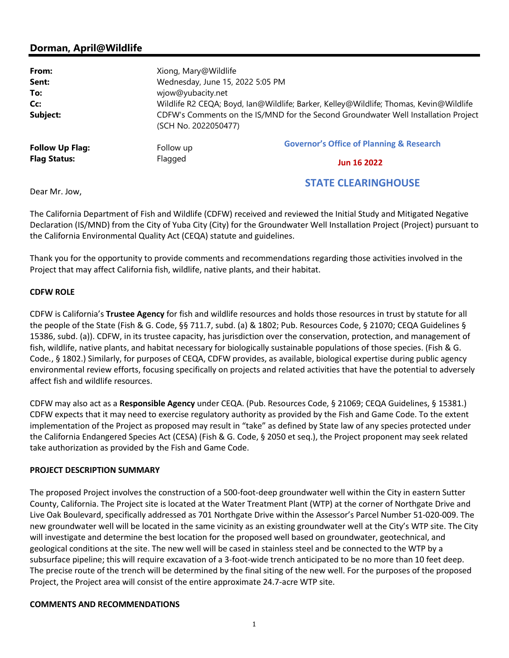# **Dorman, April@Wildlife**

| From:                                         | Xiong, Mary@Wildlife                                                                                       |                                                     |
|-----------------------------------------------|------------------------------------------------------------------------------------------------------------|-----------------------------------------------------|
| Sent:                                         | Wednesday, June 15, 2022 5:05 PM                                                                           |                                                     |
| To:                                           | wjow@yubacity.net                                                                                          |                                                     |
| Cc:                                           | Wildlife R2 CEQA; Boyd, Ian@Wildlife; Barker, Kelley@Wildlife; Thomas, Kevin@Wildlife                      |                                                     |
| Subject:                                      | CDFW's Comments on the IS/MND for the Second Groundwater Well Installation Project<br>(SCH No. 2022050477) |                                                     |
| <b>Follow Up Flag:</b><br><b>Flag Status:</b> | Follow up<br>Flagged                                                                                       | <b>Governor's Office of Planning &amp; Research</b> |
|                                               |                                                                                                            | <b>Jun 16 2022</b>                                  |
|                                               |                                                                                                            |                                                     |

Dear Mr. Jow,

The California Department of Fish and Wildlife (CDFW) received and reviewed the Initial Study and Mitigated Negative Declaration (IS/MND) from the City of Yuba City (City) for the Groundwater Well Installation Project (Project) pursuant to the California Environmental Quality Act (CEQA) statute and guidelines.

STATE CLEARINGHOUSE

Thank you for the opportunity to provide comments and recommendations regarding those activities involved in the Project that may affect California fish, wildlife, native plants, and their habitat.

### **CDFW ROLE**

CDFW is California's **Trustee Agency** for fish and wildlife resources and holds those resources in trust by statute for all the people of the State (Fish & G. Code, §§ 711.7, subd. (a) & 1802; Pub. Resources Code, § 21070; CEQA Guidelines § 15386, subd. (a)). CDFW, in its trustee capacity, has jurisdiction over the conservation, protection, and management of fish, wildlife, native plants, and habitat necessary for biologically sustainable populations of those species. (Fish & G. Code*.*, § 1802.) Similarly, for purposes of CEQA, CDFW provides, as available, biological expertise during public agency environmental review efforts, focusing specifically on projects and related activities that have the potential to adversely affect fish and wildlife resources.

CDFW may also act as a **Responsible Agency** under CEQA. (Pub. Resources Code, § 21069; CEQA Guidelines, § 15381.) CDFW expects that it may need to exercise regulatory authority as provided by the Fish and Game Code. To the extent implementation of the Project as proposed may result in "take" as defined by State law of any species protected under the California Endangered Species Act (CESA) (Fish & G. Code, § 2050 et seq.), the Project proponent may seek related take authorization as provided by the Fish and Game Code.

### **PROJECT DESCRIPTION SUMMARY**

The proposed Project involves the construction of a 500-foot-deep groundwater well within the City in eastern Sutter County, California. The Project site is located at the Water Treatment Plant (WTP) at the corner of Northgate Drive and Live Oak Boulevard, specifically addressed as 701 Northgate Drive within the Assessor's Parcel Number 51-020-009. The new groundwater well will be located in the same vicinity as an existing groundwater well at the City's WTP site. The City will investigate and determine the best location for the proposed well based on groundwater, geotechnical, and geological conditions at the site. The new well will be cased in stainless steel and be connected to the WTP by a subsurface pipeline; this will require excavation of a 3-foot-wide trench anticipated to be no more than 10 feet deep. The precise route of the trench will be determined by the final siting of the new well. For the purposes of the proposed Project, the Project area will consist of the entire approximate 24.7-acre WTP site.

### **COMMENTS AND RECOMMENDATIONS**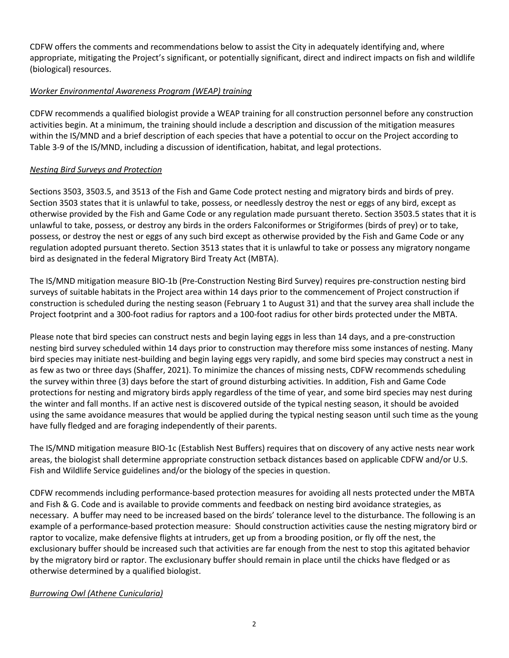CDFW offers the comments and recommendations below to assist the City in adequately identifying and, where appropriate, mitigating the Project's significant, or potentially significant, direct and indirect impacts on fish and wildlife (biological) resources.

# *Worker Environmental Awareness Program (WEAP) training*

CDFW recommends a qualified biologist provide a WEAP training for all construction personnel before any construction activities begin. At a minimum, the training should include a description and discussion of the mitigation measures within the IS/MND and a brief description of each species that have a potential to occur on the Project according to Table 3-9 of the IS/MND, including a discussion of identification, habitat, and legal protections.

### *Nesting Bird Surveys and Protection*

Sections 3503, 3503.5, and 3513 of the Fish and Game Code protect nesting and migratory birds and birds of prey. Section 3503 states that it is unlawful to take, possess, or needlessly destroy the nest or eggs of any bird, except as otherwise provided by the Fish and Game Code or any regulation made pursuant thereto. Section 3503.5 states that it is unlawful to take, possess, or destroy any birds in the orders Falconiformes or Strigiformes (birds of prey) or to take, possess, or destroy the nest or eggs of any such bird except as otherwise provided by the Fish and Game Code or any regulation adopted pursuant thereto. Section 3513 states that it is unlawful to take or possess any migratory nongame bird as designated in the federal Migratory Bird Treaty Act (MBTA).

The IS/MND mitigation measure BIO-1b (Pre-Construction Nesting Bird Survey) requires pre-construction nesting bird surveys of suitable habitats in the Project area within 14 days prior to the commencement of Project construction if construction is scheduled during the nesting season (February 1 to August 31) and that the survey area shall include the Project footprint and a 300-foot radius for raptors and a 100-foot radius for other birds protected under the MBTA.

Please note that bird species can construct nests and begin laying eggs in less than 14 days, and a pre-construction nesting bird survey scheduled within 14 days prior to construction may therefore miss some instances of nesting. Many bird species may initiate nest-building and begin laying eggs very rapidly, and some bird species may construct a nest in as few as two or three days (Shaffer, 2021). To minimize the chances of missing nests, CDFW recommends scheduling the survey within three (3) days before the start of ground disturbing activities. In addition, Fish and Game Code protections for nesting and migratory birds apply regardless of the time of year, and some bird species may nest during the winter and fall months. If an active nest is discovered outside of the typical nesting season, it should be avoided using the same avoidance measures that would be applied during the typical nesting season until such time as the young have fully fledged and are foraging independently of their parents.

The IS/MND mitigation measure BIO-1c (Establish Nest Buffers) requires that on discovery of any active nests near work areas, the biologist shall determine appropriate construction setback distances based on applicable CDFW and/or U.S. Fish and Wildlife Service guidelines and/or the biology of the species in question.

CDFW recommends including performance-based protection measures for avoiding all nests protected under the MBTA and Fish & G. Code and is available to provide comments and feedback on nesting bird avoidance strategies, as necessary. A buffer may need to be increased based on the birds' tolerance level to the disturbance. The following is an example of a performance-based protection measure: Should construction activities cause the nesting migratory bird or raptor to vocalize, make defensive flights at intruders, get up from a brooding position, or fly off the nest, the exclusionary buffer should be increased such that activities are far enough from the nest to stop this agitated behavior by the migratory bird or raptor. The exclusionary buffer should remain in place until the chicks have fledged or as otherwise determined by a qualified biologist.

### *Burrowing Owl (Athene Cunicularia)*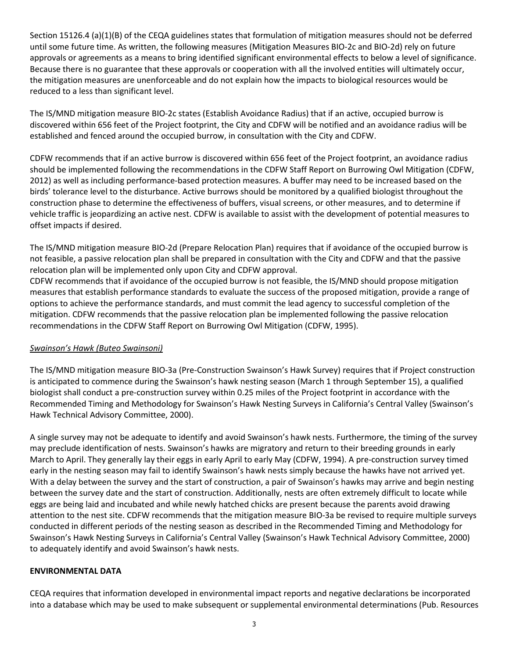Section 15126.4 (a)(1)(B) of the CEQA guidelines states that formulation of mitigation measures should not be deferred until some future time. As written, the following measures (Mitigation Measures BIO-2c and BIO-2d) rely on future approvals or agreements as a means to bring identified significant environmental effects to below a level of significance. Because there is no guarantee that these approvals or cooperation with all the involved entities will ultimately occur, the mitigation measures are unenforceable and do not explain how the impacts to biological resources would be reduced to a less than significant level.

The IS/MND mitigation measure BIO-2c states (Establish Avoidance Radius) that if an active, occupied burrow is discovered within 656 feet of the Project footprint, the City and CDFW will be notified and an avoidance radius will be established and fenced around the occupied burrow, in consultation with the City and CDFW.

CDFW recommends that if an active burrow is discovered within 656 feet of the Project footprint, an avoidance radius should be implemented following the recommendations in the CDFW Staff Report on Burrowing Owl Mitigation (CDFW, 2012) as well as including performance-based protection measures. A buffer may need to be increased based on the birds' tolerance level to the disturbance. Active burrows should be monitored by a qualified biologist throughout the construction phase to determine the effectiveness of buffers, visual screens, or other measures, and to determine if vehicle traffic is jeopardizing an active nest. CDFW is available to assist with the development of potential measures to offset impacts if desired.

The IS/MND mitigation measure BIO-2d (Prepare Relocation Plan) requires that if avoidance of the occupied burrow is not feasible, a passive relocation plan shall be prepared in consultation with the City and CDFW and that the passive relocation plan will be implemented only upon City and CDFW approval.

CDFW recommends that if avoidance of the occupied burrow is not feasible, the IS/MND should propose mitigation measures that establish performance standards to evaluate the success of the proposed mitigation, provide a range of options to achieve the performance standards, and must commit the lead agency to successful completion of the mitigation. CDFW recommends that the passive relocation plan be implemented following the passive relocation recommendations in the CDFW Staff Report on Burrowing Owl Mitigation (CDFW, 1995).

### *Swainson's Hawk (Buteo Swainsoni)*

The IS/MND mitigation measure BIO-3a (Pre-Construction Swainson's Hawk Survey) requires that if Project construction is anticipated to commence during the Swainson's hawk nesting season (March 1 through September 15), a qualified biologist shall conduct a pre-construction survey within 0.25 miles of the Project footprint in accordance with the Recommended Timing and Methodology for Swainson's Hawk Nesting Surveys in California's Central Valley (Swainson's Hawk Technical Advisory Committee, 2000).

A single survey may not be adequate to identify and avoid Swainson's hawk nests. Furthermore, the timing of the survey may preclude identification of nests. Swainson's hawks are migratory and return to their breeding grounds in early March to April. They generally lay their eggs in early April to early May (CDFW, 1994). A pre-construction survey timed early in the nesting season may fail to identify Swainson's hawk nests simply because the hawks have not arrived yet. With a delay between the survey and the start of construction, a pair of Swainson's hawks may arrive and begin nesting between the survey date and the start of construction. Additionally, nests are often extremely difficult to locate while eggs are being laid and incubated and while newly hatched chicks are present because the parents avoid drawing attention to the nest site. CDFW recommends that the mitigation measure BIO-3a be revised to require multiple surveys conducted in different periods of the nesting season as described in the Recommended Timing and Methodology for Swainson's Hawk Nesting Surveys in California's Central Valley (Swainson's Hawk Technical Advisory Committee, 2000) to adequately identify and avoid Swainson's hawk nests.

### **ENVIRONMENTAL DATA**

CEQA requires that information developed in environmental impact reports and negative declarations be incorporated into a database which may be used to make subsequent or supplemental environmental determinations (Pub. Resources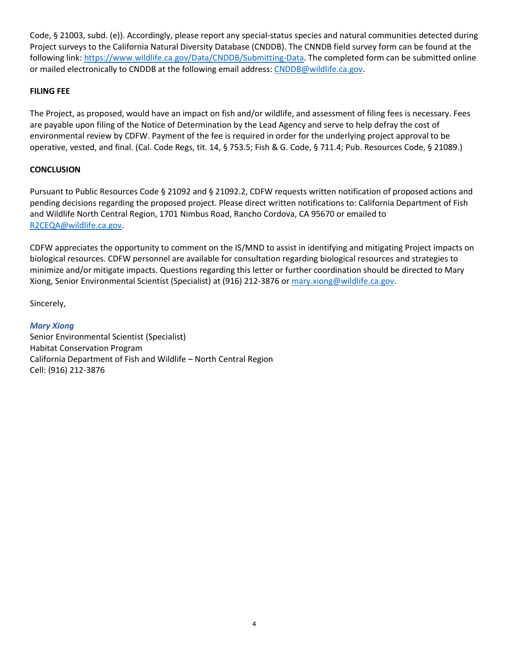Code, § 21003, subd. (e)). Accordingly, please report any special-status species and natural communities detected during Project surveys to the California Natural Diversity Database (CNDDB). The CNNDB field survey form can be found at the following link: https://www.wildlife.ca.gov/Data/CNDDB/Submitting-Data. The completed form can be submitted online or mailed electronically to CNDDB at the following email address: CNDDB@wildlife.ca.gov.

### **FILING FEE**

The Project, as proposed, would have an impact on fish and/or wildlife, and assessment of filing fees is necessary. Fees are payable upon filing of the Notice of Determination by the Lead Agency and serve to help defray the cost of environmental review by CDFW. Payment of the fee is required in order for the underlying project approval to be operative, vested, and final. (Cal. Code Regs, tit. 14, § 753.5; Fish & G. Code, § 711.4; Pub. Resources Code, § 21089.)

# **CONCLUSION**

Pursuant to Public Resources Code § 21092 and § 21092.2, CDFW requests written notification of proposed actions and pending decisions regarding the proposed project. Please direct written notifications to: California Department of Fish and Wildlife North Central Region, 1701 Nimbus Road, Rancho Cordova, CA 95670 or emailed to R2CEQA@wildlife.ca.gov.

CDFW appreciates the opportunity to comment on the IS/MND to assist in identifying and mitigating Project impacts on biological resources. CDFW personnel are available for consultation regarding biological resources and strategies to minimize and/or mitigate impacts. Questions regarding this letter or further coordination should be directed to Mary Xiong, Senior Environmental Scientist (Specialist) at (916) 212-3876 or mary.xiong@wildlife.ca.gov.

Sincerely,

### *Mary Xiong*

Senior Environmental Scientist (Specialist) Habitat Conservation Program California Department of Fish and Wildlife – North Central Region Cell: (916) 212-3876